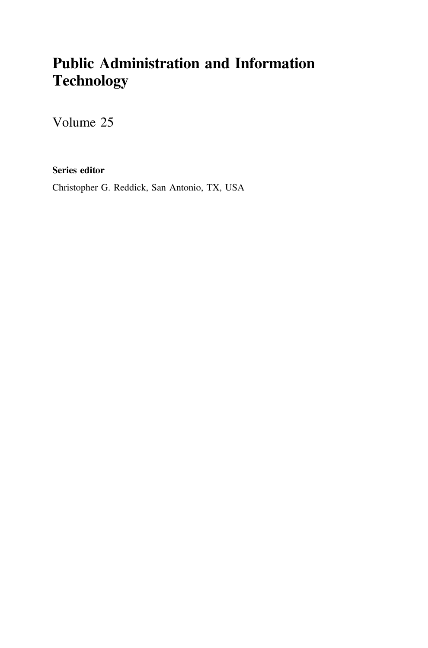## Public Administration and Information **Technology**

Volume 25

Series editor

Christopher G. Reddick, San Antonio, TX, USA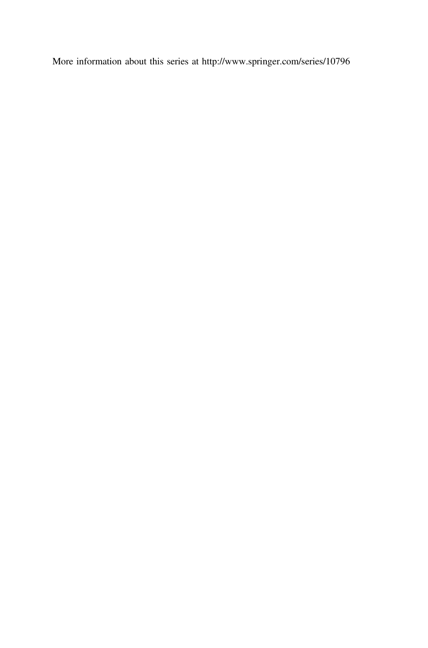More information about this series at http://www.springer.com/series/10796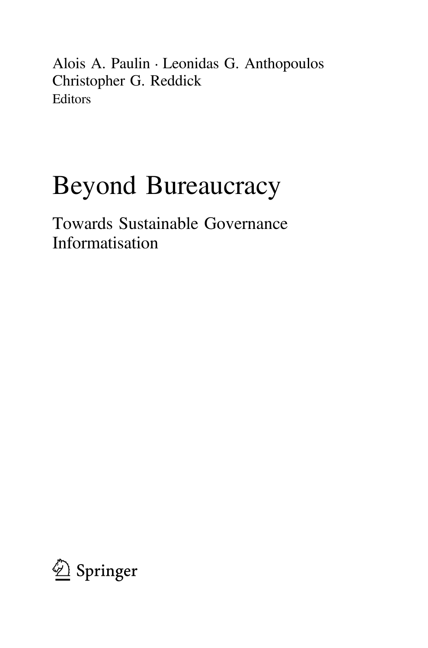Alois A. Paulin • Leonidas G. Anthopoulos Christopher G. Reddick Editors

# Beyond Bureaucracy

Towards Sustainable Governance Informatisation

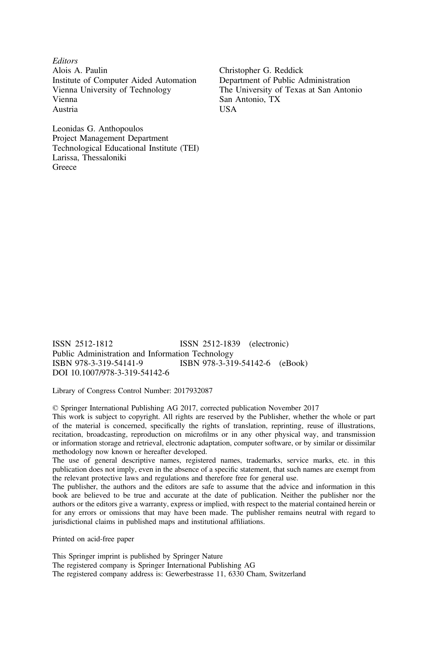**Editors** Alois A. Paulin Institute of Computer Aided Automation Vienna University of Technology Vienna Austria

Leonidas G. Anthopoulos Project Management Department Technological Educational Institute (TEI) Larissa, Thessaloniki Greece

Christopher G. Reddick Department of Public Administration The University of Texas at San Antonio San Antonio, TX USA

ISSN 2512-1812 ISSN 2512-1839 (electronic) Public Administration and Information Technology<br>ISBN 978-3-319-54141-9<br>ISBN 978-3-31 ISBN 978-3-319-54142-6 (eBook) DOI 10.1007/978-3-319-54142-6

Library of Congress Control Number: 2017932087

© Springer International Publishing AG 2017, corrected publication November 2017

This work is subject to copyright. All rights are reserved by the Publisher, whether the whole or part of the material is concerned, specifically the rights of translation, reprinting, reuse of illustrations, recitation, broadcasting, reproduction on microfilms or in any other physical way, and transmission or information storage and retrieval, electronic adaptation, computer software, or by similar or dissimilar methodology now known or hereafter developed.

The use of general descriptive names, registered names, trademarks, service marks, etc. in this publication does not imply, even in the absence of a specific statement, that such names are exempt from the relevant protective laws and regulations and therefore free for general use.

The publisher, the authors and the editors are safe to assume that the advice and information in this book are believed to be true and accurate at the date of publication. Neither the publisher nor the authors or the editors give a warranty, express or implied, with respect to the material contained herein or for any errors or omissions that may have been made. The publisher remains neutral with regard to jurisdictional claims in published maps and institutional affiliations.

Printed on acid-free paper

This Springer imprint is published by Springer Nature The registered company is Springer International Publishing AG The registered company address is: Gewerbestrasse 11, 6330 Cham, Switzerland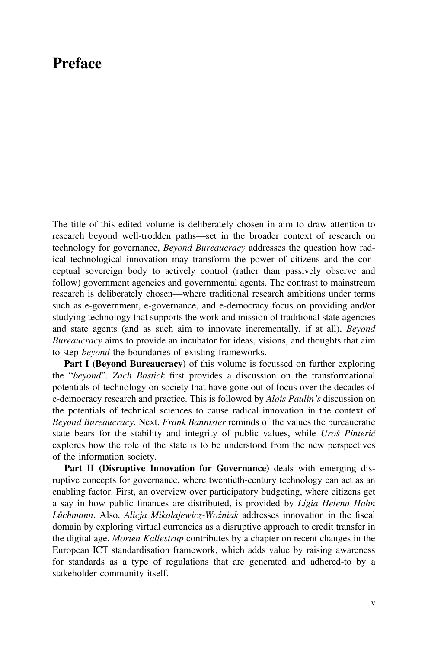### **Preface**

The title of this edited volume is deliberately chosen in aim to draw attention to research beyond well-trodden paths—set in the broader context of research on technology for governance, Beyond Bureaucracy addresses the question how radical technological innovation may transform the power of citizens and the conceptual sovereign body to actively control (rather than passively observe and follow) government agencies and governmental agents. The contrast to mainstream research is deliberately chosen—where traditional research ambitions under terms such as e-government, e-governance, and e-democracy focus on providing and/or studying technology that supports the work and mission of traditional state agencies and state agents (and as such aim to innovate incrementally, if at all), Beyond Bureaucracy aims to provide an incubator for ideas, visions, and thoughts that aim to step beyond the boundaries of existing frameworks.

Part I (Beyond Bureaucracy) of this volume is focussed on further exploring the "beyond". Zach Bastick first provides a discussion on the transformational potentials of technology on society that have gone out of focus over the decades of e-democracy research and practice. This is followed by *Alois Paulin's* discussion on the potentials of technical sciences to cause radical innovation in the context of Beyond Bureaucracy. Next, Frank Bannister reminds of the values the bureaucratic state bears for the stability and integrity of public values, while Uroš Pinterič explores how the role of the state is to be understood from the new perspectives of the information society.

Part II (Disruptive Innovation for Governance) deals with emerging disruptive concepts for governance, where twentieth-century technology can act as an enabling factor. First, an overview over participatory budgeting, where citizens get a say in how public finances are distributed, is provided by Lígia Helena Hahn Lüchmann. Also, Alicja Mikołajewicz-Woźniak addresses innovation in the fiscal domain by exploring virtual currencies as a disruptive approach to credit transfer in the digital age. Morten Kallestrup contributes by a chapter on recent changes in the European ICT standardisation framework, which adds value by raising awareness for standards as a type of regulations that are generated and adhered-to by a stakeholder community itself.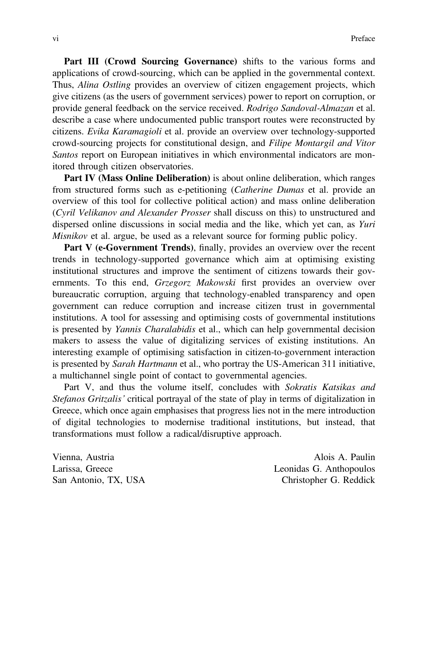Part III (Crowd Sourcing Governance) shifts to the various forms and applications of crowd-sourcing, which can be applied in the governmental context. Thus, Alina Ostling provides an overview of citizen engagement projects, which give citizens (as the users of government services) power to report on corruption, or provide general feedback on the service received. Rodrigo Sandoval-Almazan et al. describe a case where undocumented public transport routes were reconstructed by citizens. Evika Karamagioli et al. provide an overview over technology-supported crowd-sourcing projects for constitutional design, and Filipe Montargil and Vitor Santos report on European initiatives in which environmental indicators are monitored through citizen observatories.

Part IV (Mass Online Deliberation) is about online deliberation, which ranges from structured forms such as e-petitioning (Catherine Dumas et al. provide an overview of this tool for collective political action) and mass online deliberation (Cyril Velikanov and Alexander Prosser shall discuss on this) to unstructured and dispersed online discussions in social media and the like, which yet can, as Yuri Misnikov et al. argue, be used as a relevant source for forming public policy.

Part V (e-Government Trends), finally, provides an overview over the recent trends in technology-supported governance which aim at optimising existing institutional structures and improve the sentiment of citizens towards their governments. To this end, Grzegorz Makowski first provides an overview over bureaucratic corruption, arguing that technology-enabled transparency and open government can reduce corruption and increase citizen trust in governmental institutions. A tool for assessing and optimising costs of governmental institutions is presented by Yannis Charalabidis et al., which can help governmental decision makers to assess the value of digitalizing services of existing institutions. An interesting example of optimising satisfaction in citizen-to-government interaction is presented by Sarah Hartmann et al., who portray the US-American 311 initiative, a multichannel single point of contact to governmental agencies.

Part V, and thus the volume itself, concludes with Sokratis Katsikas and Stefanos Gritzalis' critical portrayal of the state of play in terms of digitalization in Greece, which once again emphasises that progress lies not in the mere introduction of digital technologies to modernise traditional institutions, but instead, that transformations must follow a radical/disruptive approach.

Vienna, Austria Alois A. Paulin Larissa, Greece Leonidas G. Anthopoulos San Antonio, TX, USA Christopher G. Reddick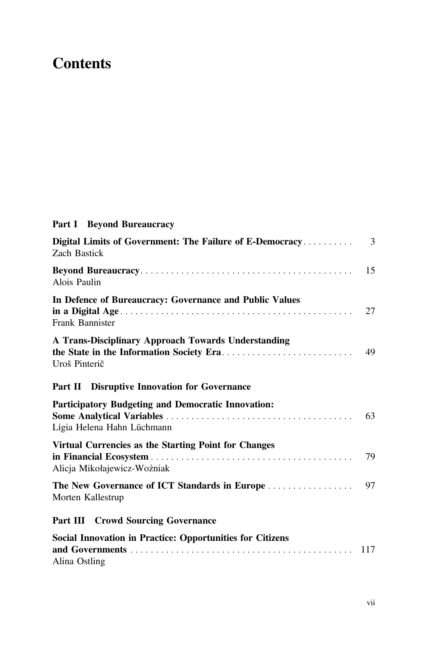## **Contents**

#### Part I Beyond Bureaucracy

| Digital Limits of Government: The Failure of E-Democracy<br><b>Zach Bastick</b>         | 3   |
|-----------------------------------------------------------------------------------------|-----|
| Alois Paulin                                                                            | 15  |
| In Defence of Bureaucracy: Governance and Public Values<br>Frank Bannister              | 27  |
| A Trans-Disciplinary Approach Towards Understanding<br>Uroš Pinterič                    | 49  |
| <b>Part II</b> Disruptive Innovation for Governance                                     |     |
| <b>Participatory Budgeting and Democratic Innovation:</b><br>Lígia Helena Hahn Lüchmann | 63  |
| Virtual Currencies as the Starting Point for Changes<br>Alicja Mikołajewicz-Woźniak     | 79  |
| The New Governance of ICT Standards in Europe<br>Morten Kallestrup                      | 97  |
| <b>Part III Crowd Sourcing Governance</b>                                               |     |
| <b>Social Innovation in Practice: Opportunities for Citizens</b><br>Alina Ostling       | 117 |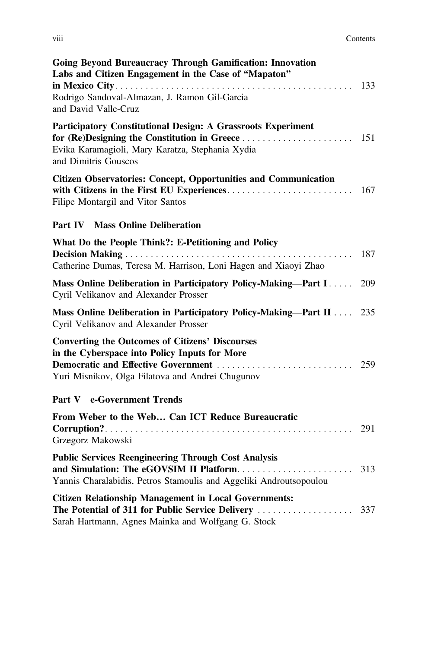| .<br><b>V111</b> | Contents |
|------------------|----------|
|------------------|----------|

| <b>Going Beyond Bureaucracy Through Gamification: Innovation</b><br>Labs and Citizen Engagement in the Case of "Mapaton"<br>Rodrigo Sandoval-Almazan, J. Ramon Gil-Garcia<br>and David Valle-Cruz | 133 |
|---------------------------------------------------------------------------------------------------------------------------------------------------------------------------------------------------|-----|
| Participatory Constitutional Design: A Grassroots Experiment<br>for (Re)Designing the Constitution in Greece<br>Evika Karamagioli, Mary Karatza, Stephania Xydia<br>and Dimitris Gouscos          | 151 |
| <b>Citizen Observatories: Concept, Opportunities and Communication</b><br>Filipe Montargil and Vitor Santos                                                                                       | 167 |
| Part IV<br><b>Mass Online Deliberation</b>                                                                                                                                                        |     |
| What Do the People Think?: E-Petitioning and Policy<br>Catherine Dumas, Teresa M. Harrison, Loni Hagen and Xiaoyi Zhao                                                                            | 187 |
| Mass Online Deliberation in Participatory Policy-Making-Part I<br>Cyril Velikanov and Alexander Prosser                                                                                           | 209 |
| Mass Online Deliberation in Participatory Policy-Making-Part II<br>Cyril Velikanov and Alexander Prosser                                                                                          | 235 |
| <b>Converting the Outcomes of Citizens' Discourses</b><br>in the Cyberspace into Policy Inputs for More<br>Yuri Misnikov, Olga Filatova and Andrei Chugunov                                       | 259 |
| Part V e-Government Trends                                                                                                                                                                        |     |
| From Weber to the Web Can ICT Reduce Bureaucratic<br>Grzegorz Makowski                                                                                                                            | 291 |
| <b>Public Services Reengineering Through Cost Analysis</b><br>and Simulation: The eGOVSIM II Platform<br>Yannis Charalabidis, Petros Stamoulis and Aggeliki Androutsopoulou                       | 313 |
| <b>Citizen Relationship Management in Local Governments:</b><br>Sarah Hartmann, Agnes Mainka and Wolfgang G. Stock                                                                                |     |